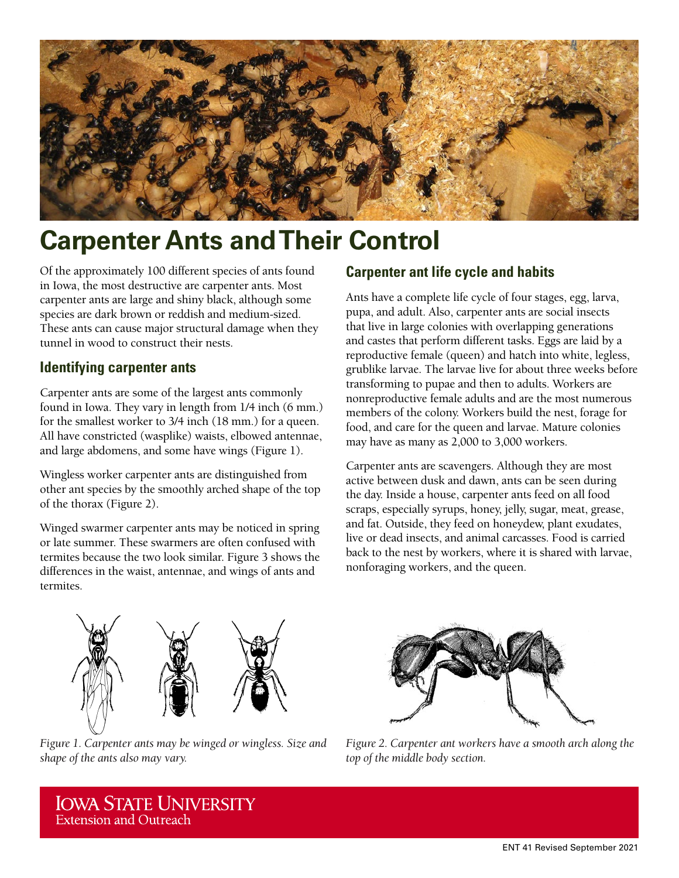

# **Carpenter Ants and Their Control**

Of the approximately 100 different species of ants found in Iowa, the most destructive are carpenter ants. Most carpenter ants are large and shiny black, although some species are dark brown or reddish and medium-sized. These ants can cause major structural damage when they tunnel in wood to construct their nests.

### **Identifying carpenter ants**

Carpenter ants are some of the largest ants commonly found in Iowa. They vary in length from 1/4 inch (6 mm.) for the smallest worker to 3/4 inch (18 mm.) for a queen. All have constricted (wasplike) waists, elbowed antennae, and large abdomens, and some have wings (Figure 1).

Wingless worker carpenter ants are distinguished from other ant species by the smoothly arched shape of the top of the thorax (Figure 2).

Winged swarmer carpenter ants may be noticed in spring or late summer. These swarmers are often confused with termites because the two look similar. Figure 3 shows the differences in the waist, antennae, and wings of ants and termites.

### **Carpenter ant life cycle and habits**

Ants have a complete life cycle of four stages, egg, larva, pupa, and adult. Also, carpenter ants are social insects that live in large colonies with overlapping generations and castes that perform different tasks. Eggs are laid by a reproductive female (queen) and hatch into white, legless, grublike larvae. The larvae live for about three weeks before transforming to pupae and then to adults. Workers are nonreproductive female adults and are the most numerous members of the colony. Workers build the nest, forage for food, and care for the queen and larvae. Mature colonies may have as many as 2,000 to 3,000 workers.

Carpenter ants are scavengers. Although they are most active between dusk and dawn, ants can be seen during the day. Inside a house, carpenter ants feed on all food scraps, especially syrups, honey, jelly, sugar, meat, grease, and fat. Outside, they feed on honeydew, plant exudates, live or dead insects, and animal carcasses. Food is carried back to the nest by workers, where it is shared with larvae, nonforaging workers, and the queen.



*Figure 1. Carpenter ants may be winged or wingless. Size and shape of the ants also may vary.*



*Figure 2. Carpenter ant workers have a smooth arch along the top of the middle body section.*

**IOWA STATE UNIVERSITY Extension and Outreach**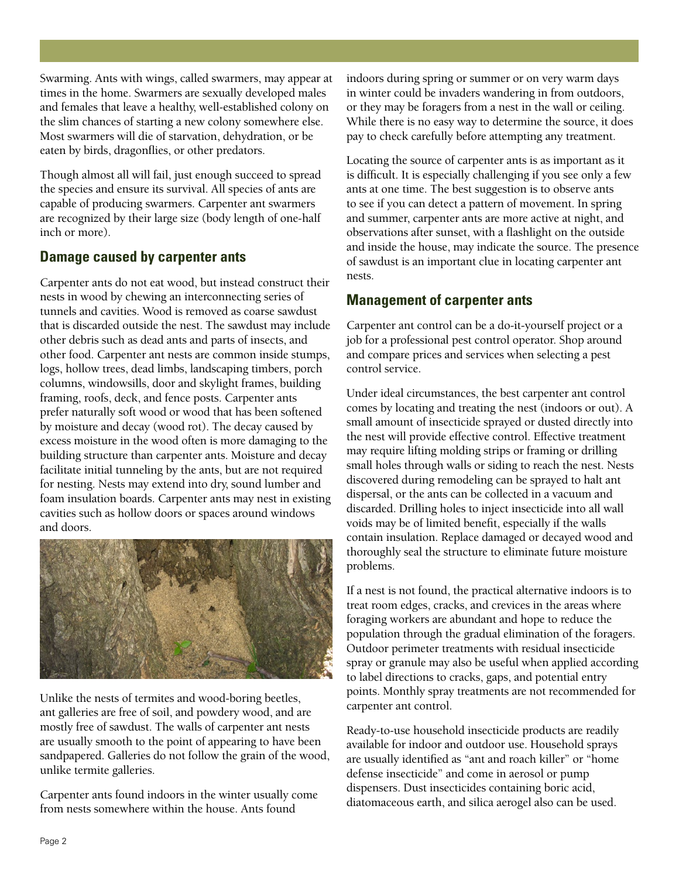Swarming. Ants with wings, called swarmers, may appear at times in the home. Swarmers are sexually developed males and females that leave a healthy, well-established colony on the slim chances of starting a new colony somewhere else. Most swarmers will die of starvation, dehydration, or be eaten by birds, dragonflies, or other predators.

Though almost all will fail, just enough succeed to spread the species and ensure its survival. All species of ants are capable of producing swarmers. Carpenter ant swarmers are recognized by their large size (body length of one-half inch or more).

#### **Damage caused by carpenter ants**

Carpenter ants do not eat wood, but instead construct their nests in wood by chewing an interconnecting series of tunnels and cavities. Wood is removed as coarse sawdust that is discarded outside the nest. The sawdust may include other debris such as dead ants and parts of insects, and other food. Carpenter ant nests are common inside stumps, logs, hollow trees, dead limbs, landscaping timbers, porch columns, windowsills, door and skylight frames, building framing, roofs, deck, and fence posts. Carpenter ants prefer naturally soft wood or wood that has been softened by moisture and decay (wood rot). The decay caused by excess moisture in the wood often is more damaging to the building structure than carpenter ants. Moisture and decay facilitate initial tunneling by the ants, but are not required for nesting. Nests may extend into dry, sound lumber and foam insulation boards. Carpenter ants may nest in existing cavities such as hollow doors or spaces around windows and doors.



Unlike the nests of termites and wood-boring beetles, ant galleries are free of soil, and powdery wood, and are mostly free of sawdust. The walls of carpenter ant nests are usually smooth to the point of appearing to have been sandpapered. Galleries do not follow the grain of the wood, unlike termite galleries.

Carpenter ants found indoors in the winter usually come from nests somewhere within the house. Ants found

indoors during spring or summer or on very warm days in winter could be invaders wandering in from outdoors, or they may be foragers from a nest in the wall or ceiling. While there is no easy way to determine the source, it does pay to check carefully before attempting any treatment.

Locating the source of carpenter ants is as important as it is difficult. It is especially challenging if you see only a few ants at one time. The best suggestion is to observe ants to see if you can detect a pattern of movement. In spring and summer, carpenter ants are more active at night, and observations after sunset, with a flashlight on the outside and inside the house, may indicate the source. The presence of sawdust is an important clue in locating carpenter ant nests.

### **Management of carpenter ants**

Carpenter ant control can be a do-it-yourself project or a job for a professional pest control operator. Shop around and compare prices and services when selecting a pest control service.

Under ideal circumstances, the best carpenter ant control comes by locating and treating the nest (indoors or out). A small amount of insecticide sprayed or dusted directly into the nest will provide effective control. Effective treatment may require lifting molding strips or framing or drilling small holes through walls or siding to reach the nest. Nests discovered during remodeling can be sprayed to halt ant dispersal, or the ants can be collected in a vacuum and discarded. Drilling holes to inject insecticide into all wall voids may be of limited benefit, especially if the walls contain insulation. Replace damaged or decayed wood and thoroughly seal the structure to eliminate future moisture problems.

If a nest is not found, the practical alternative indoors is to treat room edges, cracks, and crevices in the areas where foraging workers are abundant and hope to reduce the population through the gradual elimination of the foragers. Outdoor perimeter treatments with residual insecticide spray or granule may also be useful when applied according to label directions to cracks, gaps, and potential entry points. Monthly spray treatments are not recommended for carpenter ant control.

Ready-to-use household insecticide products are readily available for indoor and outdoor use. Household sprays are usually identified as "ant and roach killer" or "home defense insecticide" and come in aerosol or pump dispensers. Dust insecticides containing boric acid, diatomaceous earth, and silica aerogel also can be used.